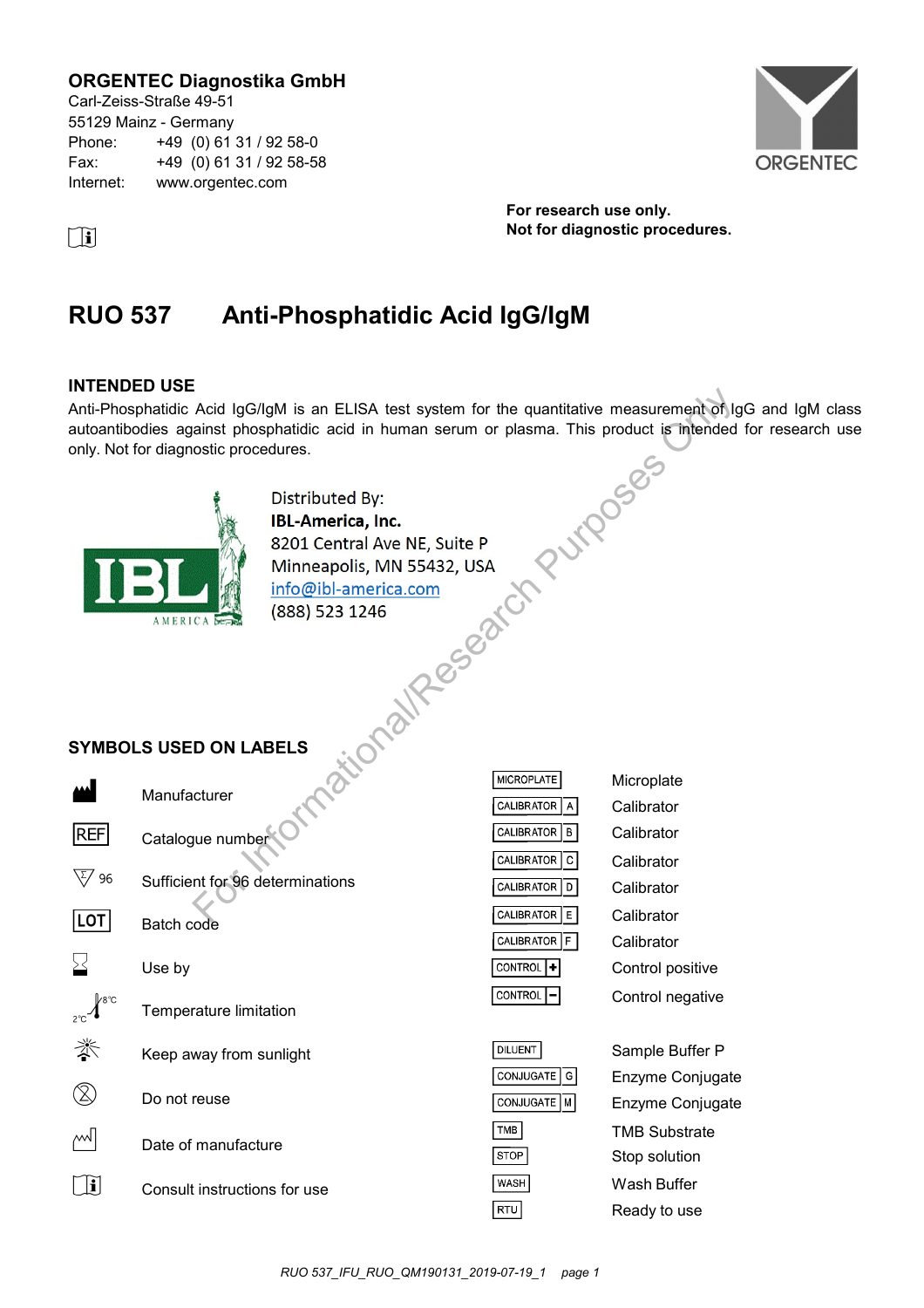# **ORGENTEC Diagnostika GmbH**

Carl-Zeiss-Straße 49-51 55129 Mainz - Germany Phone: +49 (0) 61 31 / 92 58-0 Fax: +49 (0) 61 31 / 92 58-58 Internet: www.orgentec.com



**For research use only. i Not for diagnostic procedures.** 

# **RUO 537 Anti-Phosphatidic Acid IgG/IgM**

### **INTENDED USE**

Anti-Phosphatidic Acid IgG/IgM is an ELISA test system for the quantitative measurement of IgG and IgM class autoantibodies against phosphatidic acid in human serum or plasma. This product is intended for research use only. Not for diagnostic procedures. Acid IgG/IgM is an ELISA test system for the quantitative measurement of Italianst phosphatidic acid in human serum or plasma. This product is intended<br>ostic procedures.<br>  $\begin{array}{r} \leftarrow \text{Distributed By:} \\ \text{Distributed, Inc.} \\ \text{SD1 Central Ave NE, Suite P} \\ \text{Minneapolis$ 



# **SYMBOLS USED ON LABELS**

|            | Manufacturer                     |
|------------|----------------------------------|
| <b>REF</b> | Catalogue number                 |
| 96         | Sufficient for 96 determinations |
| LOT        | Batch code                       |
| $\geq$     | Use by                           |
|            | Temperature limitation           |
|            | Keep away from sunlight          |
|            | Do not reuse                     |
|            | Date of manufacture              |
|            | Consult instructions for use     |

| <b>MICROPLATE</b>    | Microplate |
|----------------------|------------|
| CALIBRATOR A         | Calibrator |
| CALIBRATOR   B       | Calibrator |
| CALIBRATOR C         | Calibrator |
| CALIBRATOR D         | Calibrator |
| CALIBRATOR   E       | Calibrator |
| CALIBRATOR F         | Calibrator |
| CONTROL <sup>1</sup> | Control po |
| CONTROL <sup>-</sup> | Control ne |
|                      |            |
|                      |            |

| <b>DILUENT</b> |
|----------------|
|                |
| CONJUGATE   G  |
|                |
| CONJUGATE   M  |
|                |
| TMB            |
|                |
| STOP           |
|                |
| <b>WASH</b>    |
|                |
| RTU            |
|                |

Sample Buffer P Enzyme Conjugate Enzyme Conjugate TMB Substrate Stop solution Wash Buffer Ready to use

positive negative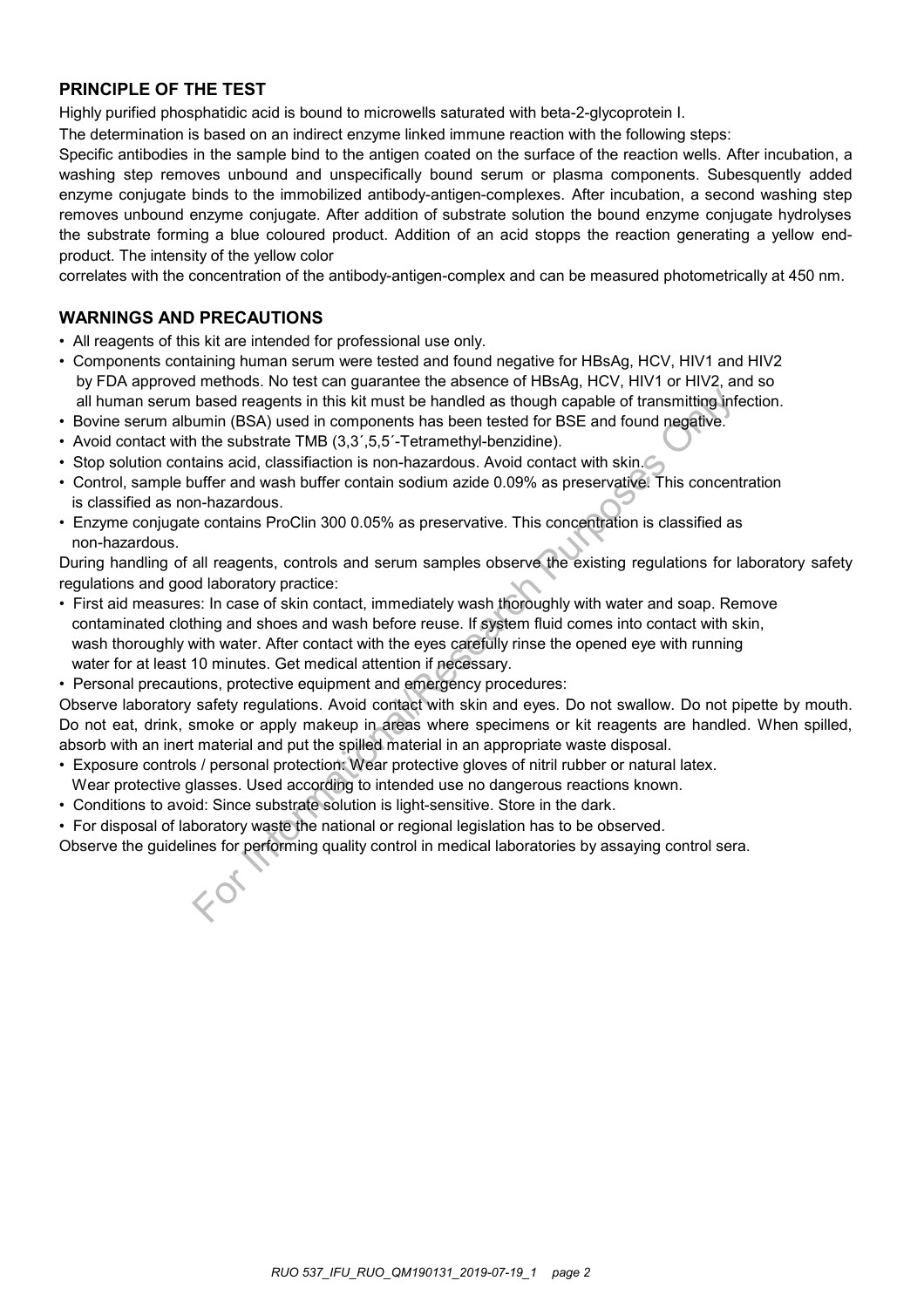# **PRINCIPLE OF THE TEST**

Highly purified phosphatidic acid is bound to microwells saturated with beta-2-glycoprotein I.

The determination is based on an indirect enzyme linked immune reaction with the following steps:

Specific antibodies in the sample bind to the antigen coated on the surface of the reaction wells. After incubation, a washing step removes unbound and unspecifically bound serum or plasma components. Subesquently added enzyme conjugate binds to the immobilized antibody-antigen-complexes. After incubation, a second washing step removes unbound enzyme conjugate. After addition of substrate solution the bound enzyme conjugate hydrolyses the substrate forming a blue coloured product. Addition of an acid stopps the reaction generating a yellow endproduct. The intensity of the yellow color

correlates with the concentration of the antibody-antigen-complex and can be measured photometrically at 450 nm.

# **WARNINGS AND PRECAUTIONS**

- All reagents of this kit are intended for professional use only.
- Components containing human serum were tested and found negative for HBsAg, HCV, HIV1 and HIV2 by FDA approved methods. No test can guarantee the absence of HBsAg, HCV, HIV1 or HIV2, and so all human serum based reagents in this kit must be handled as though capable of transmitting infection.
- Bovine serum albumin (BSA) used in components has been tested for BSE and found negative.
- Avoid contact with the substrate TMB (3,3',5,5'-Tetramethyl-benzidine).
- Stop solution contains acid, classifiaction is non-hazardous. Avoid contact with skin.
- Control, sample buffer and wash buffer contain sodium azide 0.09% as preservative. This concentration is classified as non-hazardous.
- Enzyme conjugate contains ProClin 300 0.05% as preservative. This concentration is classified as non-hazardous.

During handling of all reagents, controls and serum samples observe the existing regulations for laboratory safety regulations and good laboratory practice:

- First aid measures: In case of skin contact, immediately wash thoroughly with water and soap. Remove contaminated clothing and shoes and wash before reuse. If system fluid comes into contact with skin, wash thoroughly with water. After contact with the eyes carefully rinse the opened eye with running water for at least 10 minutes. Get medical attention if necessary. based reagents in this kit must be handled as though capable of transmitting informin (BSA) used in components has been tested for BSE and found negative. The substrate TMB (3,3',5,5-Tetrancehyl-benzidine). The substrate t
- Personal precautions, protective equipment and emergency procedures:

Observe laboratory safety regulations. Avoid contact with skin and eyes. Do not swallow. Do not pipette by mouth. Do not eat, drink, smoke or apply makeup in areas where specimens or kit reagents are handled. When spilled, absorb with an inert material and put the spilled material in an appropriate waste disposal.

- Exposure controls / personal protection: Wear protective gloves of nitril rubber or natural latex.
- Wear protective glasses. Used according to intended use no dangerous reactions known.
- Conditions to avoid: Since substrate solution is light-sensitive. Store in the dark.
- For disposal of laboratory waste the national or regional legislation has to be observed.

Observe the guidelines for performing quality control in medical laboratories by assaying control sera.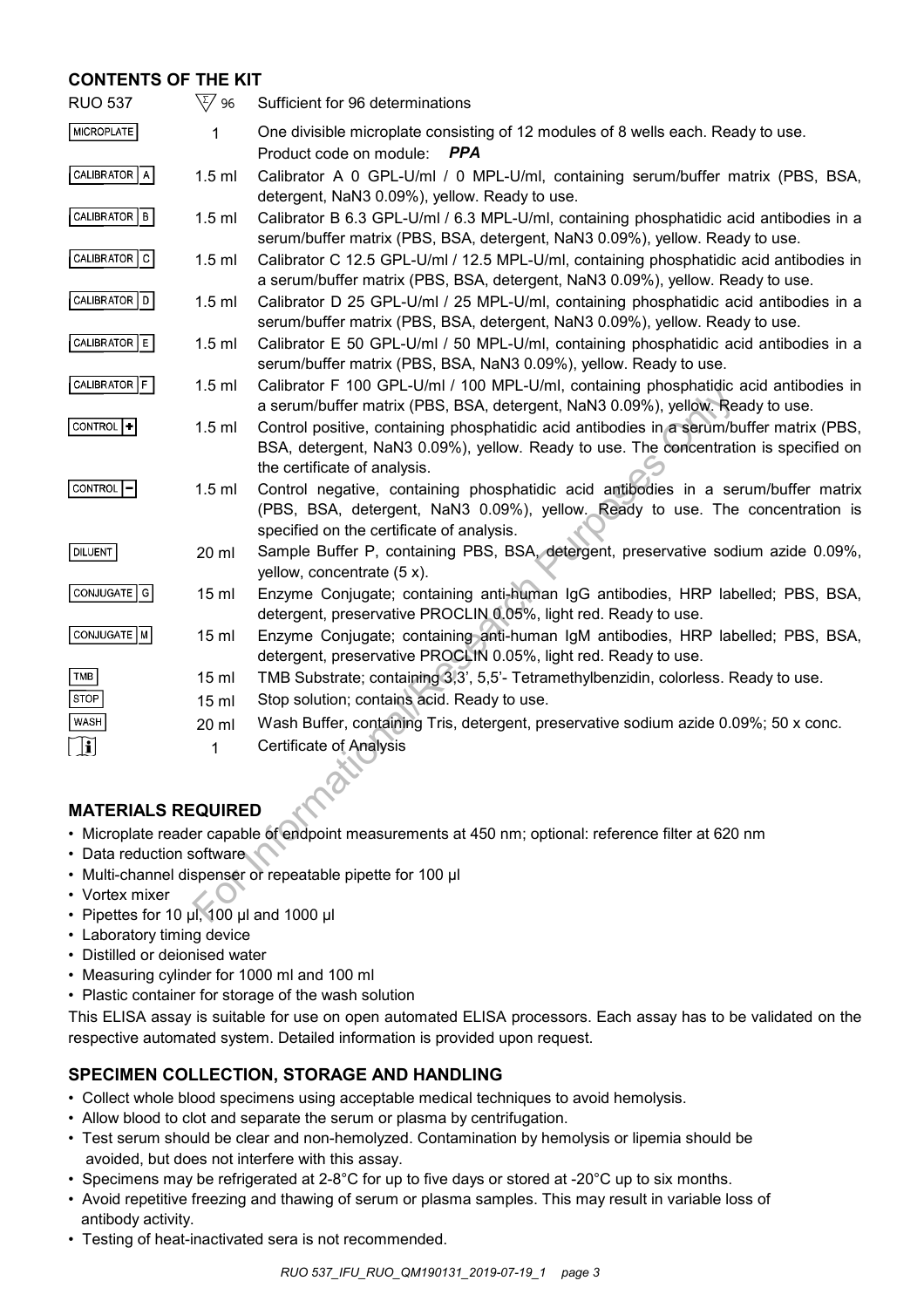# **CONTENTS OF THE KIT**

| <b>RUO 537</b>                                                                                       | $\sqrt{\zeta/2}$ 96 | Sufficient for 96 determinations                                                                                                                                                                                 |  |  |
|------------------------------------------------------------------------------------------------------|---------------------|------------------------------------------------------------------------------------------------------------------------------------------------------------------------------------------------------------------|--|--|
| <b>MICROPLATE</b>                                                                                    | 1                   | One divisible microplate consisting of 12 modules of 8 wells each. Ready to use.<br>Product code on module:<br>PPA                                                                                               |  |  |
| CALIBRATOR   A                                                                                       | $1.5$ ml            | Calibrator A 0 GPL-U/ml / 0 MPL-U/ml, containing serum/buffer matrix (PBS, BSA,<br>detergent, NaN3 0.09%), yellow. Ready to use.                                                                                 |  |  |
| CALIBRATOR   B                                                                                       | $1.5$ ml            | Calibrator B 6.3 GPL-U/ml / 6.3 MPL-U/ml, containing phosphatidic acid antibodies in a<br>serum/buffer matrix (PBS, BSA, detergent, NaN3 0.09%), yellow. Ready to use.                                           |  |  |
| CALIBRATOR C                                                                                         | $1.5$ ml            | Calibrator C 12.5 GPL-U/ml / 12.5 MPL-U/ml, containing phosphatidic acid antibodies in<br>a serum/buffer matrix (PBS, BSA, detergent, NaN3 0.09%), yellow. Ready to use.                                         |  |  |
| <b>CALIBRATOR</b><br> D                                                                              | $1.5$ ml            | Calibrator D 25 GPL-U/ml / 25 MPL-U/ml, containing phosphatidic acid antibodies in a<br>serum/buffer matrix (PBS, BSA, detergent, NaN3 0.09%), yellow. Ready to use.                                             |  |  |
| CALIBRATOR   E                                                                                       | $1.5$ ml            | Calibrator E 50 GPL-U/ml / 50 MPL-U/ml, containing phosphatidic acid antibodies in a<br>serum/buffer matrix (PBS, BSA, NaN3 0.09%), yellow. Ready to use.                                                        |  |  |
| CALIBRATOR F                                                                                         | $1.5$ ml            | Calibrator F 100 GPL-U/ml / 100 MPL-U/ml, containing phosphatidic acid antibodies in<br>a serum/buffer matrix (PBS, BSA, detergent, NaN3 0.09%), yellow. Ready to use.                                           |  |  |
| CONTROL  +                                                                                           | $1.5$ ml            | Control positive, containing phosphatidic acid antibodies in a serum/buffer matrix (PBS,<br>BSA, detergent, NaN3 0.09%), yellow. Ready to use. The concentration is specified on<br>the certificate of analysis. |  |  |
| <b>CONTROL</b>                                                                                       | $1.5$ ml            | Control negative, containing phosphatidic acid antibodies in a serum/buffer matrix<br>(PBS, BSA, detergent, NaN3 0.09%), yellow. Ready to use. The concentration is<br>specified on the certificate of analysis. |  |  |
| <b>DILUENT</b>                                                                                       | 20 ml               | Sample Buffer P, containing PBS, BSA, detergent, preservative sodium azide 0.09%,<br>yellow, concentrate (5 x).                                                                                                  |  |  |
| CONJUGATE   G                                                                                        | 15 <sub>ml</sub>    | Enzyme Conjugate; containing anti-human IgG antibodies, HRP labelled; PBS, BSA,<br>detergent, preservative PROCLIN 0.05%, light red. Ready to use.                                                               |  |  |
| CONJUGATE   M                                                                                        | 15 <sub>ml</sub>    | Enzyme Conjugate; containing anti-human IgM antibodies, HRP labelled; PBS, BSA,<br>detergent, preservative PROCLIN 0.05%, light red. Ready to use.                                                               |  |  |
| TMB                                                                                                  | 15 <sub>ml</sub>    | TMB Substrate; containing 3,3', 5,5'- Tetramethylbenzidin, colorless. Ready to use.                                                                                                                              |  |  |
| <b>STOP</b>                                                                                          | 15 <sub>ml</sub>    | Stop solution; contains acid. Ready to use.                                                                                                                                                                      |  |  |
| WASH                                                                                                 | 20 ml               | Wash Buffer, containing Tris, detergent, preservative sodium azide 0.09%; 50 x conc.                                                                                                                             |  |  |
| $\left[\begin{smallmatrix}\mathbf{1}\end{smallmatrix}\right]$                                        | 1                   | <b>Certificate of Analysis</b>                                                                                                                                                                                   |  |  |
|                                                                                                      |                     |                                                                                                                                                                                                                  |  |  |
| <b>MATERIALS REQUIRED</b>                                                                            |                     |                                                                                                                                                                                                                  |  |  |
| . Microplate reader capable of endpoint measurements at 450 nm; optional: reference filter at 620 nm |                     |                                                                                                                                                                                                                  |  |  |
| • Data reduction software                                                                            |                     |                                                                                                                                                                                                                  |  |  |
| • Multi-channel dispenser or repeatable pipette for 100 µl<br>• Vortex mixer                         |                     |                                                                                                                                                                                                                  |  |  |
| • Pipettes for 10 µl, 100 µl and 1000 µl                                                             |                     |                                                                                                                                                                                                                  |  |  |
|                                                                                                      |                     |                                                                                                                                                                                                                  |  |  |

# **MATERIALS REQUIRED**

- Microplate reader capable of endpoint measurements at 450 nm; optional: reference filter at 620 nm
- Data reduction software
- Multi-channel dispenser or repeatable pipette for 100 μl
- Vortex mixer
- Pipettes for 10 μl, 100 μl and 1000 μl
- Laboratory timing device
- Distilled or deionised water
- Measuring cylinder for 1000 ml and 100 ml
- Plastic container for storage of the wash solution

This ELISA assay is suitable for use on open automated ELISA processors. Each assay has to be validated on the respective automated system. Detailed information is provided upon request.

# **SPECIMEN COLLECTION, STORAGE AND HANDLING**

- Collect whole blood specimens using acceptable medical techniques to avoid hemolysis.
- Allow blood to clot and separate the serum or plasma by centrifugation.
- Test serum should be clear and non-hemolyzed. Contamination by hemolysis or lipemia should be avoided, but does not interfere with this assay.
- Specimens may be refrigerated at 2-8°C for up to five days or stored at -20°C up to six months.
- Avoid repetitive freezing and thawing of serum or plasma samples. This may result in variable loss of antibody activity.
- Testing of heat-inactivated sera is not recommended.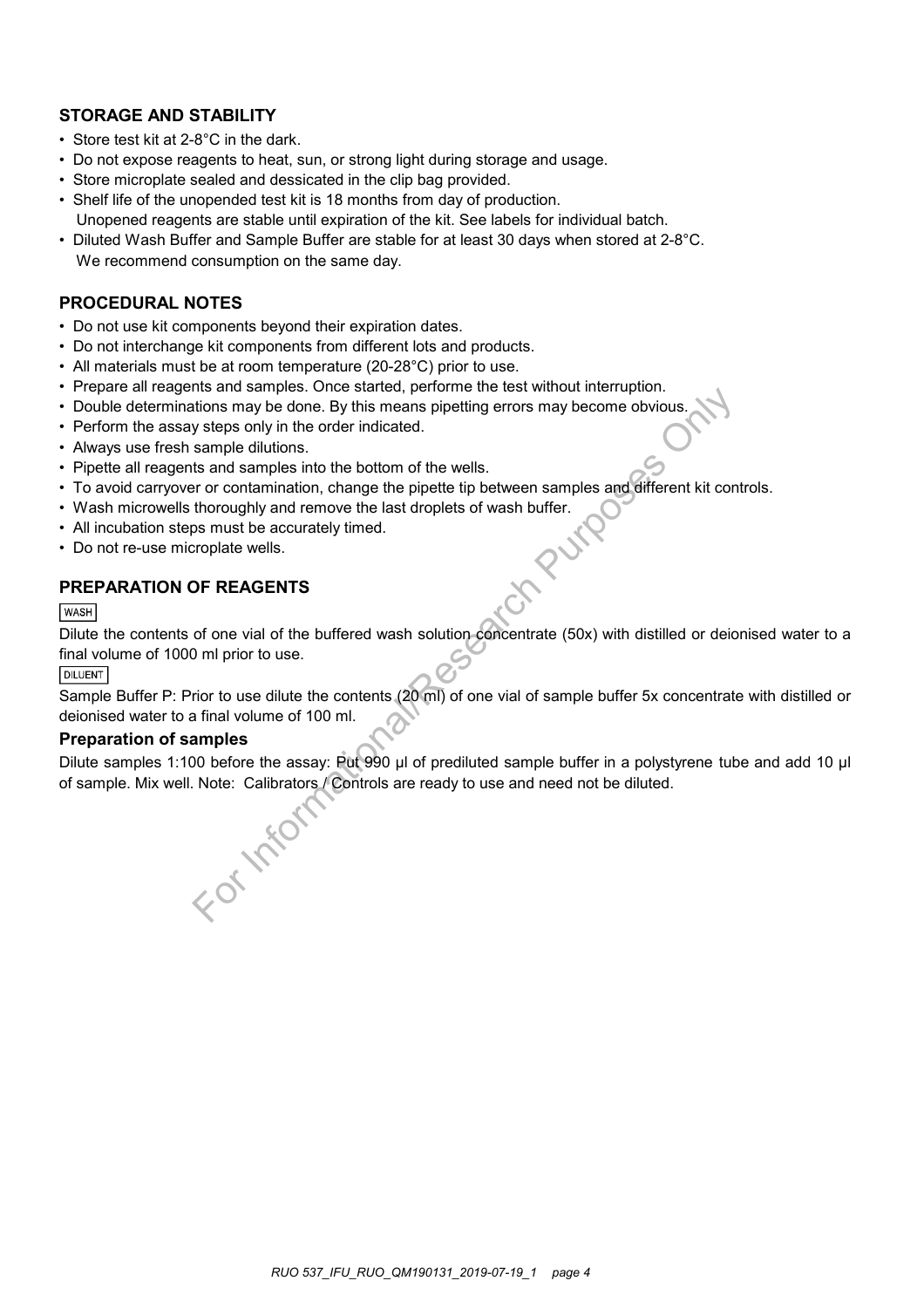# **STORAGE AND STABILITY**

- Store test kit at 2-8°C in the dark.
- Do not expose reagents to heat, sun, or strong light during storage and usage.
- Store microplate sealed and dessicated in the clip bag provided.
- Shelf life of the unopended test kit is 18 months from day of production. Unopened reagents are stable until expiration of the kit. See labels for individual batch.
- Diluted Wash Buffer and Sample Buffer are stable for at least 30 days when stored at 2-8°C. We recommend consumption on the same day.

### **PROCEDURAL NOTES**

- Do not use kit components beyond their expiration dates.
- Do not interchange kit components from different lots and products.
- All materials must be at room temperature (20-28°C) prior to use.
- Prepare all reagents and samples. Once started, performe the test without interruption.
- Double determinations may be done. By this means pipetting errors may become obvious.
- Perform the assay steps only in the order indicated.
- Always use fresh sample dilutions.
- Pipette all reagents and samples into the bottom of the wells.
- To avoid carryover or contamination, change the pipette tip between samples and different kit controls.
- Wash microwells thoroughly and remove the last droplets of wash buffer.
- All incubation steps must be accurately timed.
- Do not re-use microplate wells.

# **PREPARATION OF REAGENTS**

# **WASH**

Dilute the contents of one vial of the buffered wash solution concentrate (50x) with distilled or deionised water to a final volume of 1000 ml prior to use.

#### **DILUENT**

Sample Buffer P: Prior to use dilute the contents (20 ml) of one vial of sample buffer 5x concentrate with distilled or deionised water to a final volume of 100 ml.

### **Preparation of samples**

Dilute samples 1:100 before the assay: Put 990 µl of prediluted sample buffer in a polystyrene tube and add 10 µl Information any please once sareter, permine the test window miterialphorities and samples in the order indicated.<br>
States only in the order indicated.<br>
States and samples into the bottom of the wells.<br>
Is and samples int

of sample. Mix well. Note: Calibrators / Controls are ready to use and need not be diluted.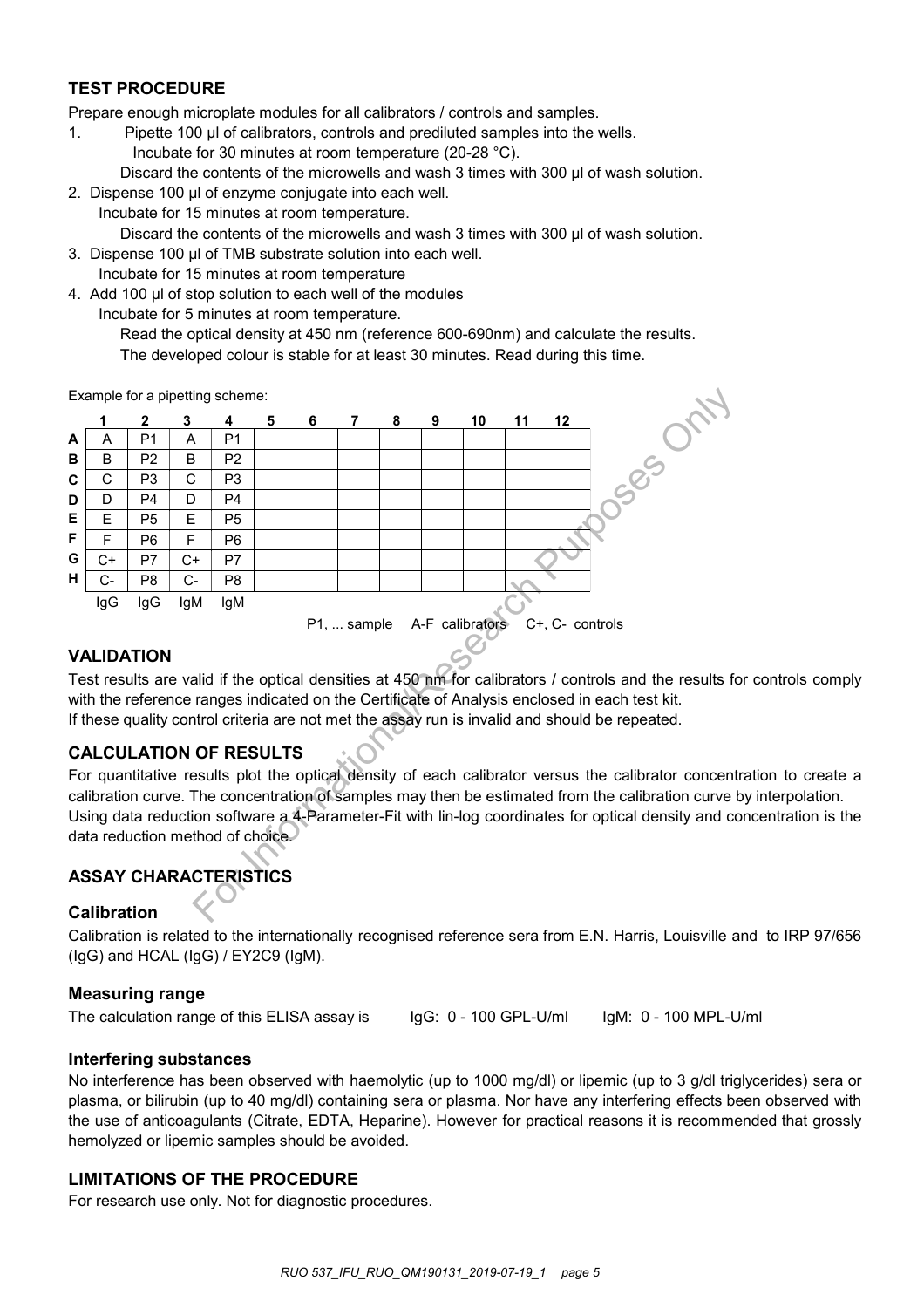# **TEST PROCEDURE**

Prepare enough microplate modules for all calibrators / controls and samples.

- 1. Pipette 100 µl of calibrators, controls and prediluted samples into the wells.
	- Incubate for 30 minutes at room temperature (20-28 °C).
	- Discard the contents of the microwells and wash 3 times with 300 µl of wash solution.
- 2. Dispense 100 μl of enzyme conjugate into each well.
- Incubate for 15 minutes at room temperature. Discard the contents of the microwells and wash 3 times with 300 μl of wash solution.
- 3. Dispense 100 μl of TMB substrate solution into each well. Incubate for 15 minutes at room temperature
- 4. Add 100 μl of stop solution to each well of the modules
	- Incubate for 5 minutes at room temperature.

Read the optical density at 450 nm (reference 600-690nm) and calculate the results. The developed colour is stable for at least 30 minutes. Read during this time.

Example for a pipetting scheme:



# **VALIDATION**

Test results are valid if the optical densities at 450 nm for calibrators / controls and the results for controls comply with the reference ranges indicated on the Certificate of Analysis enclosed in each test kit. If these quality control criteria are not met the assay run is invalid and should be repeated.

# **CALCULATION OF RESULTS**

For quantitative results plot the optical density of each calibrator versus the calibrator concentration to create a calibration curve. The concentration of samples may then be estimated from the calibration curve by interpolation. Using data reduction software a 4-Parameter-Fit with lin-log coordinates for optical density and concentration is the data reduction method of choice.

# **ASSAY CHARACTERISTICS**

# **Calibration**

Calibration is related to the internationally recognised reference sera from E.N. Harris, Louisville and to IRP 97/656 (IgG) and HCAL (IgG) / EY2C9 (IgM).

# **Measuring range**

The calculation range of this ELISA assay is

IgG: 0 - 100 GPL-U/ml

IgM: 0 - 100 MPL-U/ml

# **Interfering substances**

No interference has been observed with haemolytic (up to 1000 mg/dl) or lipemic (up to 3 g/dl triglycerides) sera or plasma, or bilirubin (up to 40 mg/dl) containing sera or plasma. Nor have any interfering effects been observed with the use of anticoagulants (Citrate, EDTA, Heparine). However for practical reasons it is recommended that grossly hemolyzed or lipemic samples should be avoided.

# **LIMITATIONS OF THE PROCEDURE**

For research use only. Not for diagnostic procedures.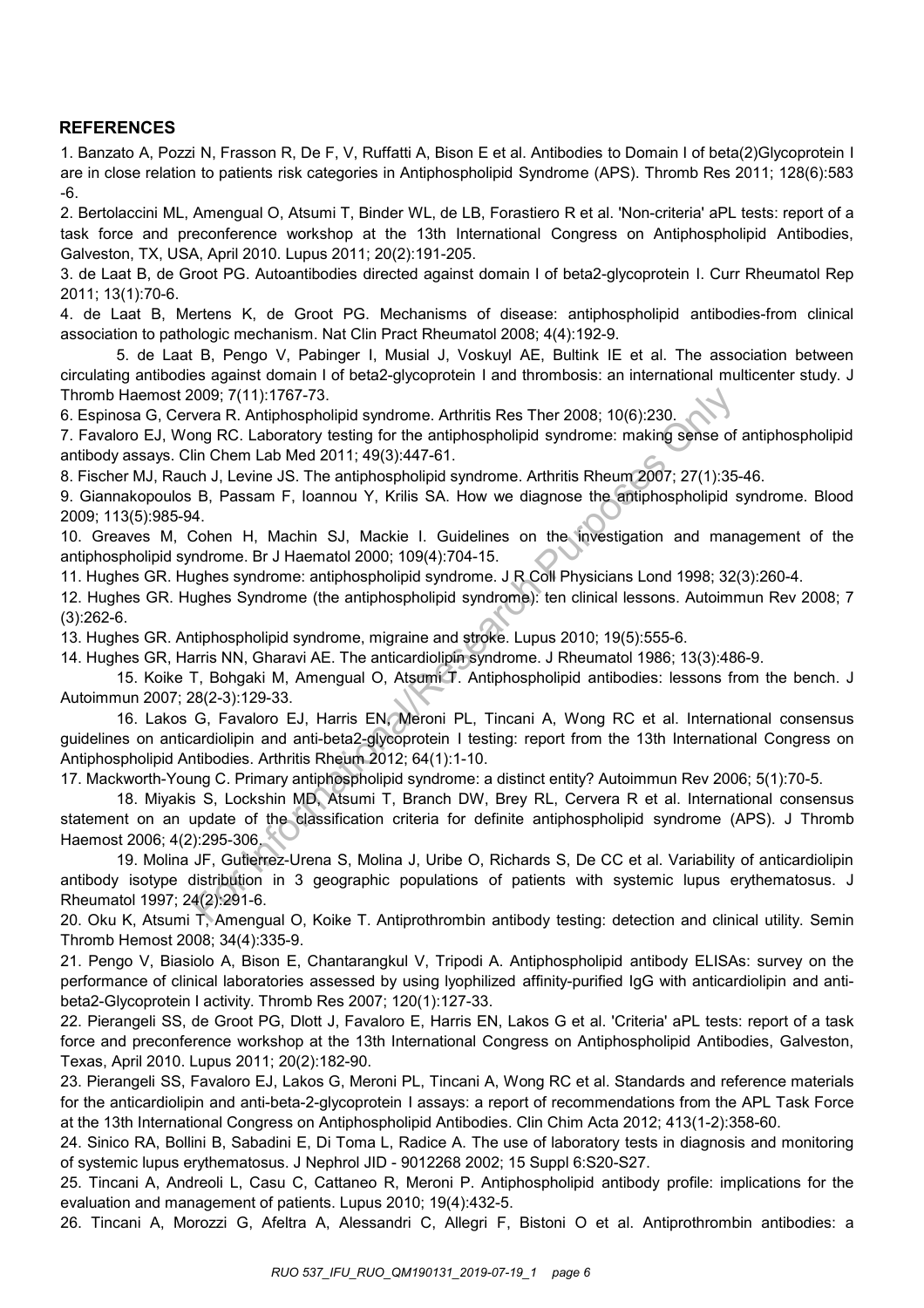# **REFERENCES**

1. Banzato A, Pozzi N, Frasson R, De F, V, Ruffatti A, Bison E et al. Antibodies to Domain I of beta(2)Glycoprotein I are in close relation to patients risk categories in Antiphospholipid Syndrome (APS). Thromb Res 2011; 128(6):583 -6.

2. Bertolaccini ML, Amengual O, Atsumi T, Binder WL, de LB, Forastiero R et al. 'Non-criteria' aPL tests: report of a task force and preconference workshop at the 13th International Congress on Antiphospholipid Antibodies, Galveston, TX, USA, April 2010. Lupus 2011; 20(2):191-205.

3. de Laat B, de Groot PG. Autoantibodies directed against domain I of beta2-glycoprotein I. Curr Rheumatol Rep 2011; 13(1):70-6.

4. de Laat B, Mertens K, de Groot PG. Mechanisms of disease: antiphospholipid antibodies-from clinical association to pathologic mechanism. Nat Clin Pract Rheumatol 2008; 4(4):192-9.

5. de Laat B, Pengo V, Pabinger I, Musial J, Voskuyl AE, Bultink IE et al. The association between circulating antibodies against domain I of beta2-glycoprotein I and thrombosis: an international multicenter study. J Thromb Haemost 2009; 7(11):1767-73.

6. Espinosa G, Cervera R. Antiphospholipid syndrome. Arthritis Res Ther 2008; 10(6):230.

7. Favaloro EJ, Wong RC. Laboratory testing for the antiphospholipid syndrome: making sense of antiphospholipid antibody assays. Clin Chem Lab Med 2011; 49(3):447-61.

8. Fischer MJ, Rauch J, Levine JS. The antiphospholipid syndrome. Arthritis Rheum 2007; 27(1):35-46.

9. Giannakopoulos B, Passam F, Ioannou Y, Krilis SA. How we diagnose the antiphospholipid syndrome. Blood 2009; 113(5):985-94.

10. Greaves M, Cohen H, Machin SJ, Mackie I. Guidelines on the investigation and management of the antiphospholipid syndrome. Br J Haematol 2000; 109(4):704-15.

11. Hughes GR. Hughes syndrome: antiphospholipid syndrome. J R Coll Physicians Lond 1998; 32(3):260-4.

12. Hughes GR. Hughes Syndrome (the antiphospholipid syndrome): ten clinical lessons. Autoimmun Rev 2008; 7 (3):262-6.

13. Hughes GR. Antiphospholipid syndrome, migraine and stroke. Lupus 2010; 19(5):555-6.

14. Hughes GR, Harris NN, Gharavi AE. The anticardiolipin syndrome. J Rheumatol 1986; 13(3):486-9.

15. Koike T, Bohgaki M, Amengual O, Atsumi T. Antiphospholipid antibodies: lessons from the bench. J Autoimmun 2007; 28(2-3):129-33.

16. Lakos G, Favaloro EJ, Harris EN, Meroni PL, Tincani A, Wong RC et al. International consensus guidelines on anticardiolipin and anti-beta2-glycoprotein I testing: report from the 13th International Congress on Antiphospholipid Antibodies. Arthritis Rheum 2012; 64(1):1-10. 009; 7(11):1767-73.<br>
wera R. Antiphospholipid syndrome. Arthritis Res Ther 2008; 10(6):230.<br>
ong RC. Laboratory testing for the antiphospholipid syndrome: making sense of<br>
in Chem Lab Med 2011; 49(3):447-61.<br>
ch, J. Lewine

17. Mackworth-Young C. Primary antiphospholipid syndrome: a distinct entity? Autoimmun Rev 2006; 5(1):70-5.

18. Miyakis S, Lockshin MD, Atsumi T, Branch DW, Brey RL, Cervera R et al. International consensus statement on an update of the classification criteria for definite antiphospholipid syndrome (APS). J Thromb Haemost 2006; 4(2):295-306.

19. Molina JF, Gutierrez-Urena S, Molina J, Uribe O, Richards S, De CC et al. Variability of anticardiolipin antibody isotype distribution in 3 geographic populations of patients with systemic lupus erythematosus. J Rheumatol 1997; 24(2):291-6.

20. Oku K, Atsumi T, Amengual O, Koike T. Antiprothrombin antibody testing: detection and clinical utility. Semin Thromb Hemost 2008; 34(4):335-9.

21. Pengo V, Biasiolo A, Bison E, Chantarangkul V, Tripodi A. Antiphospholipid antibody ELISAs: survey on the performance of clinical laboratories assessed by using lyophilized affinity-purified IgG with anticardiolipin and antibeta2-Glycoprotein I activity. Thromb Res 2007; 120(1):127-33.

22. Pierangeli SS, de Groot PG, Dlott J, Favaloro E, Harris EN, Lakos G et al. 'Criteria' aPL tests: report of a task force and preconference workshop at the 13th International Congress on Antiphospholipid Antibodies, Galveston, Texas, April 2010. Lupus 2011; 20(2):182-90.

23. Pierangeli SS, Favaloro EJ, Lakos G, Meroni PL, Tincani A, Wong RC et al. Standards and reference materials for the anticardiolipin and anti-beta-2-glycoprotein I assays: a report of recommendations from the APL Task Force at the 13th International Congress on Antiphospholipid Antibodies. Clin Chim Acta 2012; 413(1-2):358-60.

24. Sinico RA, Bollini B, Sabadini E, Di Toma L, Radice A. The use of laboratory tests in diagnosis and monitoring of systemic lupus erythematosus. J Nephrol JID - 9012268 2002; 15 Suppl 6:S20-S27.

25. Tincani A, Andreoli L, Casu C, Cattaneo R, Meroni P. Antiphospholipid antibody profile: implications for the evaluation and management of patients. Lupus 2010; 19(4):432-5.

26. Tincani A, Morozzi G, Afeltra A, Alessandri C, Allegri F, Bistoni O et al. Antiprothrombin antibodies: a